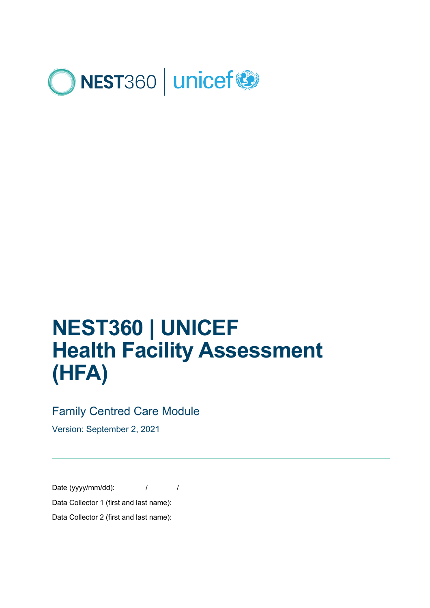

# **NEST360 | UNICEF Health Facility Assessment (HFA)**

#### Family Centred Care Module

Version: September 2, 2021

Date (yyyy/mm/dd):  $\frac{1}{2}$  / Data Collector 1 (first and last name): Data Collector 2 (first and last name):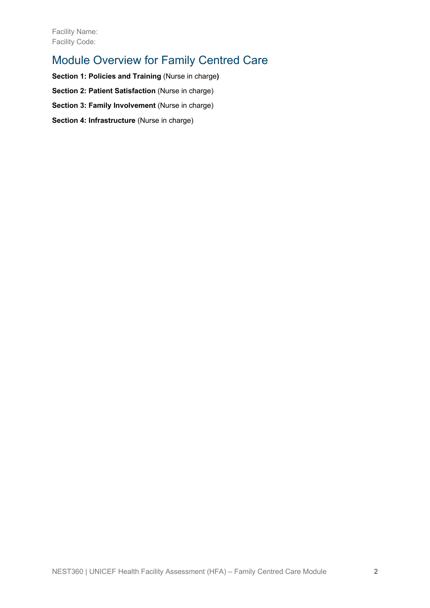### Module Overview for Family Centred Care

**Section 1: Policies and Training** (Nurse in charge**) Section 2: Patient Satisfaction (Nurse in charge) Section 3: Family Involvement** (Nurse in charge) **Section 4: Infrastructure** (Nurse in charge)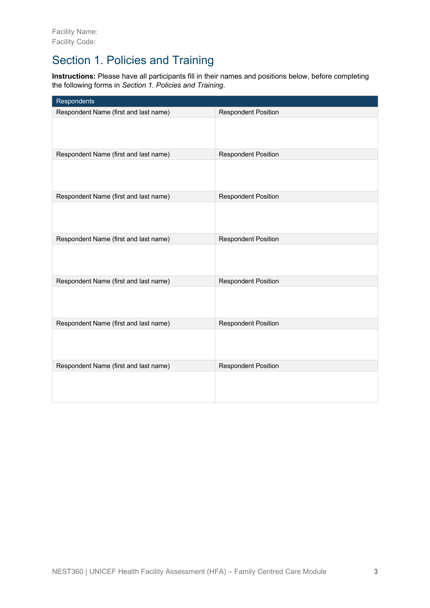### Section 1. Policies and Training

**Instructions:** Please have all participants fill in their names and positions below, before completing the following forms in *Section 1. Policies and Training*.

| Respondents                           |                            |
|---------------------------------------|----------------------------|
| Respondent Name (first and last name) | <b>Respondent Position</b> |
|                                       |                            |
| Respondent Name (first and last name) | <b>Respondent Position</b> |
|                                       |                            |
| Respondent Name (first and last name) | <b>Respondent Position</b> |
|                                       |                            |
| Respondent Name (first and last name) | <b>Respondent Position</b> |
|                                       |                            |
| Respondent Name (first and last name) | <b>Respondent Position</b> |
|                                       |                            |
| Respondent Name (first and last name) | <b>Respondent Position</b> |
|                                       |                            |
| Respondent Name (first and last name) | <b>Respondent Position</b> |
|                                       |                            |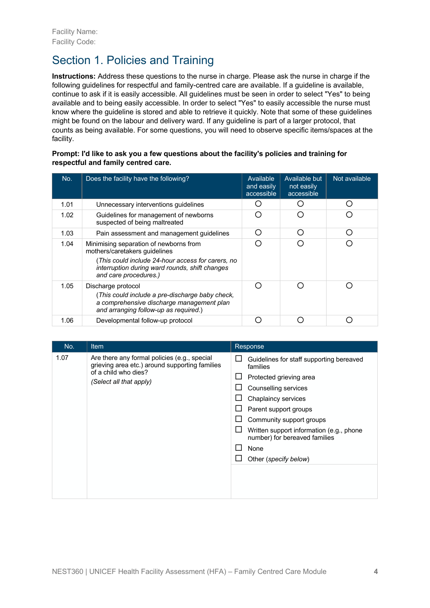## Section 1. Policies and Training

**Instructions:** Address these questions to the nurse in charge. Please ask the nurse in charge if the following guidelines for respectful and family-centred care are available. If a guideline is available, continue to ask if it is easily accessible. All guidelines must be seen in order to select "Yes" to being available and to being easily accessible. In order to select "Yes" to easily accessible the nurse must know where the guideline is stored and able to retrieve it quickly. Note that some of these guidelines might be found on the labour and delivery ward. If any guideline is part of a larger protocol, that counts as being available. For some questions, you will need to observe specific items/spaces at the facility.

#### **Prompt: I'd like to ask you a few questions about the facility's policies and training for respectful and family centred care.**

| No.  | Does the facility have the following?                                                                                                                                                                   | Available<br>and easily<br>accessible | Available but<br>not easily<br>accessible | Not available |
|------|---------------------------------------------------------------------------------------------------------------------------------------------------------------------------------------------------------|---------------------------------------|-------------------------------------------|---------------|
| 1.01 | Unnecessary interventions quidelines                                                                                                                                                                    |                                       |                                           | ( )           |
| 1.02 | Guidelines for management of newborns<br>suspected of being maltreated                                                                                                                                  |                                       |                                           |               |
| 1.03 | Pain assessment and management guidelines                                                                                                                                                               |                                       |                                           | ∩             |
| 1.04 | Minimising separation of newborns from<br>mothers/caretakers guidelines<br>(This could include 24-hour access for carers, no<br>interruption during ward rounds, shift changes<br>and care procedures.) |                                       |                                           |               |
| 1.05 | Discharge protocol<br>(This could include a pre-discharge baby check,<br>a comprehensive discharge management plan<br>and arranging follow-up as required.)                                             |                                       |                                           |               |
| 1.06 | Developmental follow-up protocol                                                                                                                                                                        |                                       |                                           |               |

| No.  | Item                                                                                                                                              | Response                                                                                                                                                                                                                                                                                          |
|------|---------------------------------------------------------------------------------------------------------------------------------------------------|---------------------------------------------------------------------------------------------------------------------------------------------------------------------------------------------------------------------------------------------------------------------------------------------------|
| 1.07 | Are there any formal policies (e.g., special<br>grieving area etc.) around supporting families<br>of a child who dies?<br>(Select all that apply) | Guidelines for staff supporting bereaved<br>families<br>Protected grieving area<br>Counselling services<br>Chaplaincy services<br>Parent support groups<br>Community support groups<br>Written support information (e.g., phone<br>number) for bereaved families<br>None<br>Other (specify below) |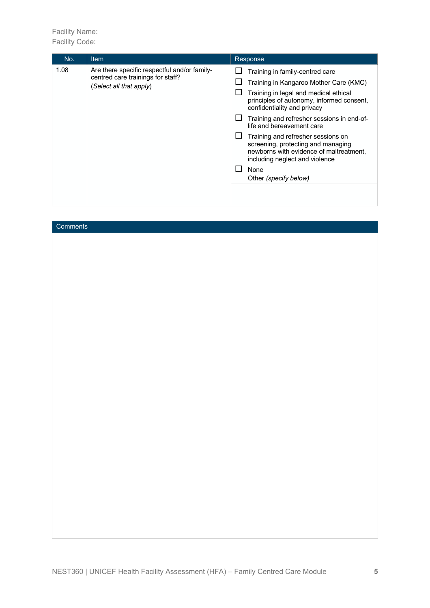| No.  | <b>Item</b>                                                                                                  | Response                                                                                                                                                                                                                                                                                                                                                                                                                                                            |
|------|--------------------------------------------------------------------------------------------------------------|---------------------------------------------------------------------------------------------------------------------------------------------------------------------------------------------------------------------------------------------------------------------------------------------------------------------------------------------------------------------------------------------------------------------------------------------------------------------|
| 1.08 | Are there specific respectful and/or family-<br>centred care trainings for staff?<br>(Select all that apply) | Training in family-centred care<br>Training in Kangaroo Mother Care (KMC)<br>Training in legal and medical ethical<br>principles of autonomy, informed consent,<br>confidentiality and privacy<br>Training and refresher sessions in end-of-<br>life and bereavement care<br>Training and refresher sessions on<br>screening, protecting and managing<br>newborns with evidence of maltreatment.<br>including neglect and violence<br>None<br>Other (specify below) |

| Comments |  |  |
|----------|--|--|
|          |  |  |
|          |  |  |
|          |  |  |
|          |  |  |
|          |  |  |
|          |  |  |
|          |  |  |
|          |  |  |
|          |  |  |
|          |  |  |
|          |  |  |
|          |  |  |
|          |  |  |
|          |  |  |
|          |  |  |
|          |  |  |
|          |  |  |
|          |  |  |
|          |  |  |
|          |  |  |
|          |  |  |
|          |  |  |
|          |  |  |
|          |  |  |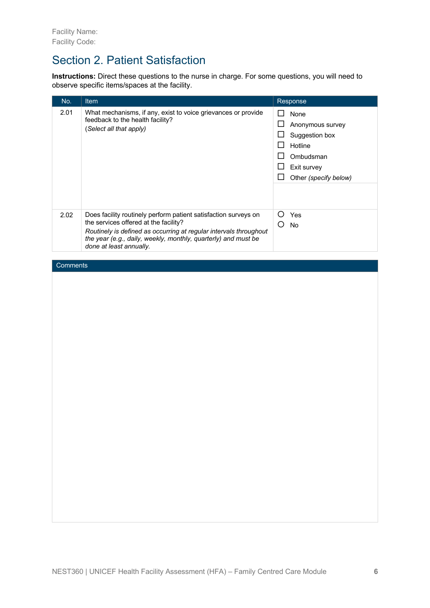#### Section 2. Patient Satisfaction

**Instructions:** Direct these questions to the nurse in charge. For some questions, you will need to observe specific items/spaces at the facility.

| No.  | <b>Item</b>                                                                                                                                                                                                                                                                | Response                                                                                                   |
|------|----------------------------------------------------------------------------------------------------------------------------------------------------------------------------------------------------------------------------------------------------------------------------|------------------------------------------------------------------------------------------------------------|
| 2.01 | What mechanisms, if any, exist to voice grievances or provide<br>feedback to the health facility?<br>(Select all that apply)                                                                                                                                               | None<br>Anonymous survey<br>Suggestion box<br>Hotline<br>Ombudsman<br>Exit survey<br>Other (specify below) |
| 2.02 | Does facility routinely perform patient satisfaction surveys on<br>the services offered at the facility?<br>Routinely is defined as occurring at regular intervals throughout<br>the year (e.g., daily, weekly, monthly, quarterly) and must be<br>done at least annually. | Yes<br>Ω<br>No                                                                                             |

#### **Comments**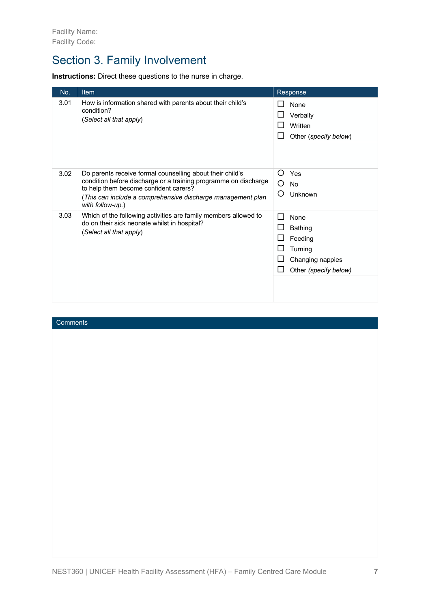### Section 3. Family Involvement

**Instructions:** Direct these questions to the nurse in charge.

| No.  | Item                                                                                                                                                                                                                                                     | Response                                                                                                            |
|------|----------------------------------------------------------------------------------------------------------------------------------------------------------------------------------------------------------------------------------------------------------|---------------------------------------------------------------------------------------------------------------------|
| 3.01 | How is information shared with parents about their child's<br>condition?<br>(Select all that apply)                                                                                                                                                      | None<br>Verbally<br>Written<br>Other (specify below)                                                                |
| 3.02 | Do parents receive formal counselling about their child's<br>condition before discharge or a training programme on discharge<br>to help them become confident carers?<br>(This can include a comprehensive discharge management plan<br>with follow-up.) | Ω<br>Yes<br>◯<br>No<br>Ω<br>Unknown                                                                                 |
| 3.03 | Which of the following activities are family members allowed to<br>do on their sick neonate whilst in hospital?<br>(Select all that apply)                                                                                                               | None<br>$\sim$<br><b>Bathing</b><br>$\mathsf{L}$<br>Feeding<br>Turning<br>Changing nappies<br>Other (specify below) |

#### **Comments**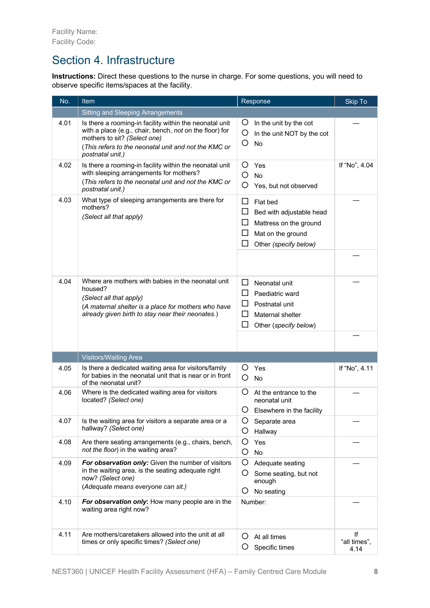#### Section 4. Infrastructure

**Instructions:** Direct these questions to the nurse in charge. For some questions, you will need to observe specific items/spaces at the facility.

| No.  | Item                                                                                                                                                                                                                           | Response                                                                                                                              | Skip To                    |
|------|--------------------------------------------------------------------------------------------------------------------------------------------------------------------------------------------------------------------------------|---------------------------------------------------------------------------------------------------------------------------------------|----------------------------|
|      | <b>Sitting and Sleeping Arrangements</b>                                                                                                                                                                                       |                                                                                                                                       |                            |
| 4.01 | Is there a rooming-in facility within the neonatal unit<br>with a place (e.g., chair, bench, not on the floor) for<br>mothers to sit? (Select one)<br>(This refers to the neonatal unit and not the KMC or<br>postnatal unit.) | O<br>In the unit by the cot<br>O<br>In the unit NOT by the cot<br>O<br>No                                                             |                            |
| 4.02 | Is there a rooming-in facility within the neonatal unit<br>with sleeping arrangements for mothers?<br>(This refers to the neonatal unit and not the KMC or<br>postnatal unit.)                                                 | O<br>Yes<br>O<br><b>No</b><br>O<br>Yes, but not observed                                                                              | If "No", 4.04              |
| 4.03 | What type of sleeping arrangements are there for<br>mothers?<br>(Select all that apply)                                                                                                                                        | □<br>Flat bed<br>□<br>Bed with adjustable head<br>ப<br>Mattress on the ground<br>□<br>Mat on the ground<br>□<br>Other (specify below) |                            |
| 4.04 | Where are mothers with babies in the neonatal unit<br>housed?<br>(Select all that apply)<br>(A maternal shelter is a place for mothers who have<br>already given birth to stay near their neonates.)                           | ப<br>Neonatal unit<br>ப<br>Paediatric ward<br>П<br>Postnatal unit<br>□<br>Maternal shelter<br>□<br>Other (specify below)              |                            |
|      |                                                                                                                                                                                                                                |                                                                                                                                       |                            |
|      | <b>Visitors/Waiting Area</b>                                                                                                                                                                                                   |                                                                                                                                       |                            |
| 4.05 | Is there a dedicated waiting area for visitors/family<br>for babies in the neonatal unit that is near or in front<br>of the neonatal unit?                                                                                     | O<br>Yes<br>O<br>No                                                                                                                   | If "No", 4.11              |
| 4.06 | Where is the dedicated waiting area for visitors<br>located? (Select one)                                                                                                                                                      | Ő<br>At the entrance to the<br>neonatal unit<br>Elsewhere in the facility<br>Ő                                                        |                            |
| 4.07 | Is the waiting area for visitors a separate area or a<br>hallway? (Select one)                                                                                                                                                 | Separate area<br>O<br>Hallway                                                                                                         |                            |
| 4.08 | Are there seating arrangements (e.g., chairs, bench,<br>not the floor) in the waiting area?                                                                                                                                    | O<br>Yes<br>O<br>No                                                                                                                   |                            |
| 4.09 | For observation only: Given the number of visitors<br>in the waiting area, is the seating adequate right<br>now? (Select one)<br>(Adequate means everyone can sit.)                                                            | O<br>Adequate seating<br>O<br>Some seating, but not<br>enough<br>O<br>No seating                                                      |                            |
| 4.10 | For observation only: How many people are in the<br>waiting area right now?                                                                                                                                                    | Number:                                                                                                                               |                            |
| 4.11 | Are mothers/caretakers allowed into the unit at all<br>times or only specific times? (Select one)                                                                                                                              | Ő<br>At all times<br>O<br>Specific times                                                                                              | lf<br>"all times",<br>4.14 |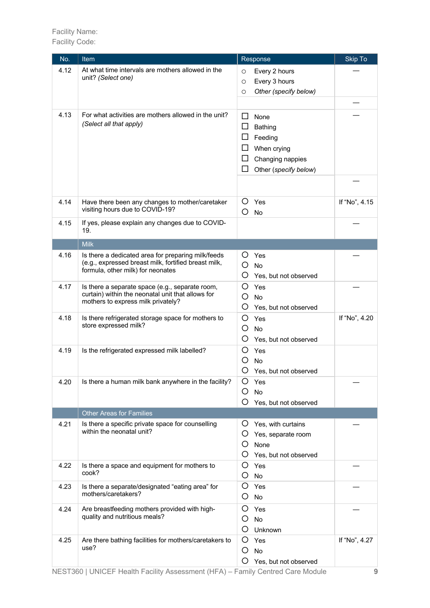| No.  | Item                                                                                                                                            | Response                                                                                                        | <b>Skip To</b> |
|------|-------------------------------------------------------------------------------------------------------------------------------------------------|-----------------------------------------------------------------------------------------------------------------|----------------|
| 4.12 | At what time intervals are mothers allowed in the<br>unit? (Select one)                                                                         | Every 2 hours<br>O<br>Every 3 hours<br>$\circ$<br>Other (specify below)<br>O                                    |                |
| 4.13 | For what activities are mothers allowed in the unit?<br>(Select all that apply)                                                                 | $\Box$<br>None<br>ப<br>Bathing<br>Feeding<br>When crying<br>□<br>Changing nappies<br>□<br>Other (specify below) |                |
| 4.14 | Have there been any changes to mother/caretaker<br>visiting hours due to COVID-19?                                                              | Ő<br>Yes<br>O<br><b>No</b>                                                                                      | If "No", 4.15  |
| 4.15 | If yes, please explain any changes due to COVID-<br>19.                                                                                         |                                                                                                                 |                |
|      | <b>Milk</b>                                                                                                                                     |                                                                                                                 |                |
| 4.16 | Is there a dedicated area for preparing milk/feeds<br>(e.g., expressed breast milk, fortified breast milk,<br>formula, other milk) for neonates | O<br>Yes<br>O<br>No<br>O<br>Yes, but not observed                                                               |                |
| 4.17 | Is there a separate space (e.g., separate room,<br>curtain) within the neonatal unit that allows for<br>mothers to express milk privately?      | O<br>Yes<br>O<br><b>No</b><br>O<br>Yes, but not observed                                                        |                |
| 4.18 | Is there refrigerated storage space for mothers to<br>store expressed milk?                                                                     | O<br>Yes<br>O<br>No<br>O<br>Yes, but not observed                                                               | If "No", 4.20  |
| 4.19 | Is the refrigerated expressed milk labelled?                                                                                                    | O<br>Yes<br>Ο<br>No<br>Ο<br>Yes, but not observed                                                               |                |
| 4.20 | Is there a human milk bank anywhere in the facility?                                                                                            | O<br>Yes<br><b>No</b><br>Ő<br>O<br>Yes, but not observed                                                        |                |
|      | <b>Other Areas for Families</b>                                                                                                                 |                                                                                                                 |                |
| 4.21 | Is there a specific private space for counselling<br>within the neonatal unit?                                                                  | O<br>Yes, with curtains<br>Ő<br>Yes, separate room<br>O<br>None<br>O<br>Yes, but not observed                   |                |
| 4.22 | Is there a space and equipment for mothers to<br>cook?                                                                                          | O<br>Yes<br>O<br>No                                                                                             |                |
| 4.23 | Is there a separate/designated "eating area" for<br>mothers/caretakers?                                                                         | O<br>Yes<br>O<br>No                                                                                             |                |
| 4.24 | Are breastfeeding mothers provided with high-<br>quality and nutritious meals?                                                                  | O<br>Yes<br>O<br><b>No</b><br>O<br>Unknown                                                                      |                |
| 4.25 | Are there bathing facilities for mothers/caretakers to<br>use?                                                                                  | O<br>Yes<br>O<br>No<br>O<br>Yes, but not observed                                                               | If "No", 4.27  |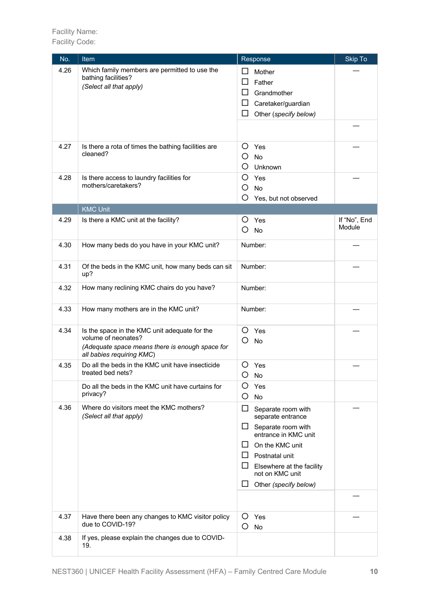| No.  | Item                                                                  | Response                                          | <b>Skip To</b> |
|------|-----------------------------------------------------------------------|---------------------------------------------------|----------------|
| 4.26 | Which family members are permitted to use the                         | ΙI<br>Mother                                      |                |
|      | bathing facilities?<br>(Select all that apply)                        | □<br>Father                                       |                |
|      |                                                                       | ΙI<br>Grandmother                                 |                |
|      |                                                                       | □<br>Caretaker/guardian                           |                |
|      |                                                                       | □<br>Other (specify below)                        |                |
|      |                                                                       |                                                   |                |
|      |                                                                       |                                                   |                |
| 4.27 | Is there a rota of times the bathing facilities are<br>cleaned?       | Ő<br>Yes                                          |                |
|      |                                                                       | O<br>No                                           |                |
|      |                                                                       | O<br>Unknown                                      |                |
| 4.28 | Is there access to laundry facilities for                             | O<br>Yes                                          |                |
|      | mothers/caretakers?                                                   | O<br><b>No</b>                                    |                |
|      |                                                                       | O<br>Yes, but not observed                        |                |
|      | <b>KMC Unit</b>                                                       |                                                   |                |
| 4.29 | Is there a KMC unit at the facility?                                  | Ő<br>Yes                                          | If "No", End   |
|      |                                                                       | O<br><b>No</b>                                    | Module         |
| 4.30 | How many beds do you have in your KMC unit?                           | Number:                                           |                |
|      |                                                                       |                                                   |                |
| 4.31 | Of the beds in the KMC unit, how many beds can sit                    | Number:                                           |                |
|      | up?                                                                   |                                                   |                |
| 4.32 | How many reclining KMC chairs do you have?                            | Number:                                           |                |
|      |                                                                       |                                                   |                |
| 4.33 | How many mothers are in the KMC unit?                                 | Number:                                           |                |
| 4.34 |                                                                       | Ő<br>Yes                                          |                |
|      | Is the space in the KMC unit adequate for the<br>volume of neonates?  | O<br>No                                           |                |
|      | (Adequate space means there is enough space for                       |                                                   |                |
|      | all babies requiring KMC)                                             |                                                   |                |
| 4.35 | Do all the beds in the KMC unit have insecticide<br>treated bed nets? | Ő<br>Yes                                          |                |
|      |                                                                       | O<br>No                                           |                |
|      | Do all the beds in the KMC unit have curtains for<br>privacy?         | O<br>Yes                                          |                |
|      |                                                                       | O<br>No                                           |                |
| 4.36 | Where do visitors meet the KMC mothers?<br>(Select all that apply)    | □<br>Separate room with<br>separate entrance      |                |
|      |                                                                       | ப<br>Separate room with                           |                |
|      |                                                                       | entrance in KMC unit                              |                |
|      |                                                                       | On the KMC unit<br>ΙI                             |                |
|      |                                                                       | ⊔<br>Postnatal unit                               |                |
|      |                                                                       | ப<br>Elsewhere at the facility<br>not on KMC unit |                |
|      |                                                                       | ப<br>Other (specify below)                        |                |
|      |                                                                       |                                                   |                |
|      |                                                                       |                                                   |                |
| 4.37 | Have there been any changes to KMC visitor policy                     | Yes<br>Ő                                          |                |
|      | due to COVID-19?                                                      | O<br>No                                           |                |
| 4.38 | If yes, please explain the changes due to COVID-                      |                                                   |                |
|      | 19.                                                                   |                                                   |                |